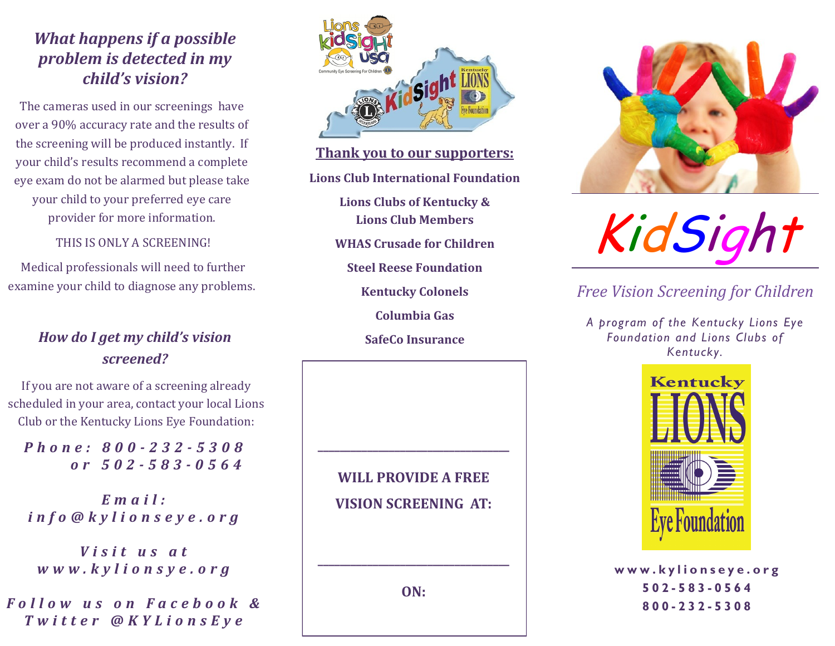### *What happens if a possible problem is detected in my child's vision?*

The cameras used in our screenings have over a 90% accuracy rate and the results of the screening will be produced instantly. If your child's results recommend a complete eye exam do not be alarmed but please take your child to your preferred eye care provider for more information.

THIS IS ONLY A SCREENING!

Medical professionals will need to further examine your child to diagnose any problems.

#### *How do I get my child's vision screened?*

If you are not aware of a screening already scheduled in your area, contact your local Lions Club or the Kentucky Lions Eye Foundation:

*P h o n e : 8 0 0 - 232 - 5308 o r 5 0 2 - 583 - 0564*

*E m a i l : i n f o @ k y l i o n s e y e . o r g*

*V i s i t u s a t w w w . k y l i o n s y e . o r g*

*F o l l o w u s o n F a c e b o o k & T w i t t e r @ K Y L i o n s E y e*



#### **Thank you to our supporters:**

**Lions Club International Foundation**

**Lions Clubs of Kentucky & Lions Club Members**

**WHAS Crusade for Children**

**Steel Reese Foundation** 

**Kentucky Colonels**

**Columbia Gas**

**SafeCo Insurance**





#### *Free Vision Screening for Children*

*A program of the Kentucky Lions Eye Foundation and Lions Clubs of Kentucky.* 



**w w w . k y l i o n s e y e . o r g 502 - 583 - 0 5 6 4 800 - 232 - 5 3 0 8**

**WILL PROVIDE A FREE VISION SCREENING AT:**

**\_\_\_\_\_\_\_\_\_\_\_\_\_\_\_\_\_\_\_\_\_\_\_\_\_\_\_\_\_\_\_\_\_\_\_**

**ON:** 

**\_\_\_\_\_\_\_\_\_\_\_\_\_\_\_\_\_\_\_\_\_\_\_\_\_\_\_\_\_\_\_\_\_\_\_**